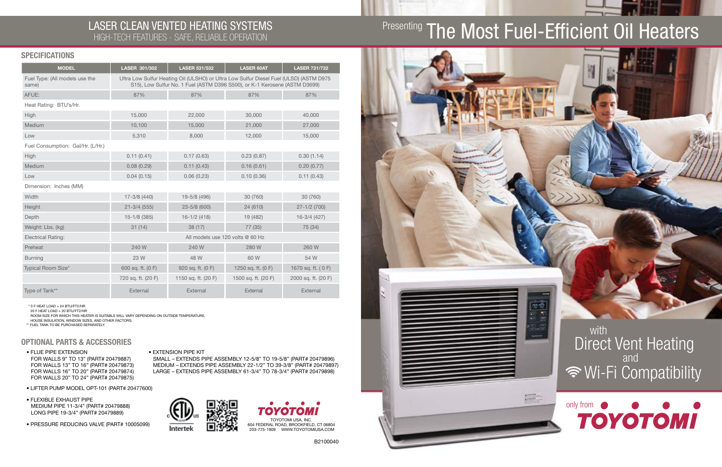• FLUE PIPE EXTENSION FOR WALLS 9" TO 13" (PART# 20479887) FOR WALLS 13" TO 16" (PART# 20479873) FOR WALLS 16" TO 20" (PART# 20479874) FOR WALLS 20" TO 24" (PART# 20479875)

- LIFTER PUMP MODEL OPT-101 (PART# 20477600)
- FLEXIBLE EXHAUST PIPE MEDIUM PIPE 11-3/4" (PART# 20479888) LONG PIPE 19-3/4" (PART# 20479889)
- PRESSURE REDUCING VALVE (PART# 10005099)



 SMALL – EXTENDS PIPE ASSEMBLY 12-5/8" TO 19-5/8" (PART# 20479896) MEDIUM – EXTENDS PIPE ASSEMBLY 22-1/2" TO 39-3/8" (PART# 20479897) LARGE – EXTENDS PIPE ASSEMBLY 61-3/4" TO 78-3/4" (PART# 20479898)





20 F HEAT LOAD = 20 BTU/FT2/HR

ROOM SIZE FOR WHICH THIS HEATER IS SUITABLE WILL VARY DEPENDING ON OUTSIDE TEMPERATURE,

HOUSE INSULATION, WINDOW SIZES, AND OTHER FACTORS.

\*\* FUEL TANK TO BE PURCHASED SEPARATELY.

#### OPTIONAL PARTS & ACCESSORIES

TOYOTOMI USA, INC. 604 FEDERAL ROAD, BROOKFIELD, CT 06804 203-775-1909 WWW.TOYOTOMIUSA.COM

## Presenting The Most Fuel-Efficient Oil Heaters



| <b>MODEL</b>                            | <b>LASER 301/302</b>                                                                                                                                                 | <b>LASER 531/532</b> | <b>LASER 60AT</b>   | <b>LASER 731/732</b> |
|-----------------------------------------|----------------------------------------------------------------------------------------------------------------------------------------------------------------------|----------------------|---------------------|----------------------|
| Fuel Type: (All models use the<br>same) | Ultra Low Sulfur Heating Oil (ULSHO) or Ultra Low Sulfur Diesel Fuel (ULSD) (ASTM D975<br>S15), Low Sulfur No. 1 Fuel (ASTM D396 S500), or K-1 Kerosene (ASTM D3699) |                      |                     |                      |
| AFUE:                                   | 87%                                                                                                                                                                  | 87%                  | 87%                 | 87%                  |
| Heat Rating: BTU's/Hr.                  |                                                                                                                                                                      |                      |                     |                      |
| High                                    | 15,000                                                                                                                                                               | 22,000               | 30,000              | 40,000               |
| Medium                                  | 10,100                                                                                                                                                               | 15,000               | 21,000              | 27,000               |
| Low                                     | 5,310                                                                                                                                                                | 8,000                | 12,000              | 15,000               |
| Fuel Consumption: Gal/Hr. (L/Hr.)       |                                                                                                                                                                      |                      |                     |                      |
| High                                    | 0.11(0.41)                                                                                                                                                           | 0.17(0.63)           | 0.23(0.87)          | 0.30(1.14)           |
| Medium                                  | 0.08(0.29)                                                                                                                                                           | 0.11(0.43)           | 0.16(0.61)          | 0.20(0.77)           |
| Low                                     | 0.04(0.15)                                                                                                                                                           | 0.06(0.23)           | 0.10(0.36)          | 0.11(0.43)           |
| Dimension: Inches (MM)                  |                                                                                                                                                                      |                      |                     |                      |
| Width                                   | $17 - 3/8$ (440)                                                                                                                                                     | 19-5/8 (496)         | 30 (760)            | 30 (760)             |
| Height                                  | $21 - 3/4$ (555)                                                                                                                                                     | 23-5/8 (600)         | 24 (610)            | $27 - 1/2$ (700)     |
| Depth                                   | $15-1/8$ (385)                                                                                                                                                       | $16-1/2(418)$        | 19 (482)            | 16-3/4 (427)         |
| Weight: Lbs. (kg)                       | 31(14)                                                                                                                                                               | 38 (17)              | 77 (35)             | 75 (34)              |
| <b>Electrical Rating:</b>               | All models use 120 volts @ 60 Hz                                                                                                                                     |                      |                     |                      |
| Preheat                                 | 240 W                                                                                                                                                                | 240 W                | 280 W               | 260 W                |
| <b>Burning</b>                          | 23 W                                                                                                                                                                 | 48 W                 | 60 W                | 54 W                 |
| Typical Room Size*                      | 600 sq. ft. (0 F)                                                                                                                                                    | 920 sq. ft. (0 F)    | 1250 sq. ft. (0 F)  | 1670 sq. ft. (0F)    |
|                                         | 720 sq. ft. (20 F)                                                                                                                                                   | 1150 sq. ft. (20 F)  | 1500 sq. ft. (20 F) | 2000 sq. ft. (20 F)  |
| Type of Tank**                          | External                                                                                                                                                             | External             | External            | External             |

 $*$  0 F HEAT LOAD = 24 BTU/FT2/HR



### LASER CLEAN VENTED HEATING SYSTEMS HIGH-TECH FEATURES - SAFE, RELIABLE OPERATION

#### **SPECIFICATIONS**

## Direct Vent Heating Wi-Fi Compatibility and with